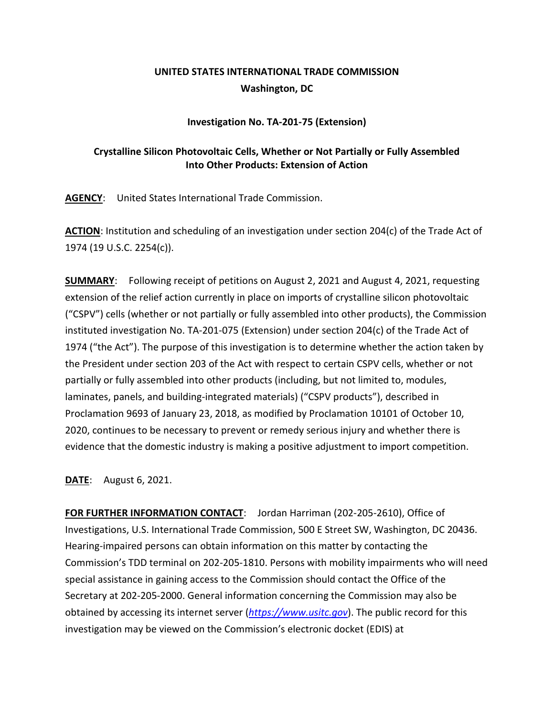## **UNITED STATES INTERNATIONAL TRADE COMMISSION Washington, DC**

## **Investigation No. TA-201-75 (Extension)**

## **Crystalline Silicon Photovoltaic Cells, Whether or Not Partially or Fully Assembled Into Other Products: Extension of Action**

**AGENCY**: United States International Trade Commission.

**ACTION**: Institution and scheduling of an investigation under section 204(c) of the Trade Act of 1974 (19 U.S.C. 2254(c)).

**SUMMARY**: Following receipt of petitions on August 2, 2021 and August 4, 2021, requesting extension of the relief action currently in place on imports of crystalline silicon photovoltaic ("CSPV") cells (whether or not partially or fully assembled into other products), the Commission instituted investigation No. TA-201-075 (Extension) under section 204(c) of the Trade Act of 1974 ("the Act"). The purpose of this investigation is to determine whether the action taken by the President under section 203 of the Act with respect to certain CSPV cells, whether or not partially or fully assembled into other products (including, but not limited to, modules, laminates, panels, and building-integrated materials) ("CSPV products"), described in Proclamation 9693 of January 23, 2018, as modified by Proclamation 10101 of October 10, 2020, continues to be necessary to prevent or remedy serious injury and whether there is evidence that the domestic industry is making a positive adjustment to import competition.

**DATE**: August 6, 2021.

**FOR FURTHER INFORMATION CONTACT**: Jordan Harriman (202-205-2610), Office of Investigations, U.S. International Trade Commission, 500 E Street SW, Washington, DC 20436. Hearing-impaired persons can obtain information on this matter by contacting the Commission's TDD terminal on 202-205-1810. Persons with mobility impairments who will need special assistance in gaining access to the Commission should contact the Office of the Secretary at 202-205-2000. General information concerning the Commission may also be obtained by accessing its internet server (*[https://www.usitc.gov](https://www.usitc.gov/)*). The public record for this investigation may be viewed on the Commission's electronic docket (EDIS) at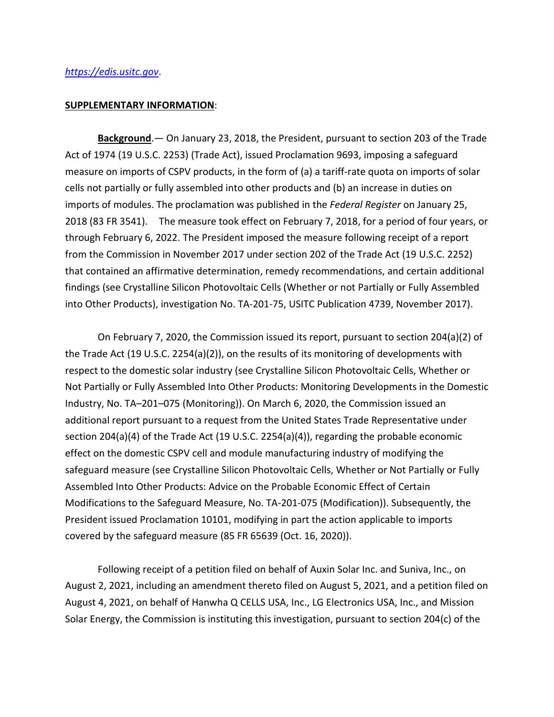## **SUPPLEMENTARY INFORMATION**:

**Background**.— On January 23, 2018, the President, pursuant to section 203 of the Trade Act of 1974 (19 U.S.C. 2253) (Trade Act), issued Proclamation 9693, imposing a safeguard measure on imports of CSPV products, in the form of (a) a tariff-rate quota on imports of solar cells not partially or fully assembled into other products and (b) an increase in duties on imports of modules. The proclamation was published in the *Federal Register* on January 25, 2018 (83 FR 3541). The measure took effect on February 7, 2018, for a period of four years, or through February 6, 2022. The President imposed the measure following receipt of a report from the Commission in November 2017 under section 202 of the Trade Act (19 U.S.C. 2252) that contained an affirmative determination, remedy recommendations, and certain additional findings (see Crystalline Silicon Photovoltaic Cells (Whether or not Partially or Fully Assembled into Other Products), investigation No. TA-201-75, USITC Publication 4739, November 2017).

On February 7, 2020, the Commission issued its report, pursuant to section 204(a)(2) of the Trade Act (19 U.S.C. 2254(a)(2)), on the results of its monitoring of developments with respect to the domestic solar industry (see Crystalline Silicon Photovoltaic Cells, Whether or Not Partially or Fully Assembled Into Other Products: Monitoring Developments in the Domestic Industry, No. TA–201–075 (Monitoring)). On March 6, 2020, the Commission issued an additional report pursuant to a request from the United States Trade Representative under section 204(a)(4) of the Trade Act (19 U.S.C. 2254(a)(4)), regarding the probable economic effect on the domestic CSPV cell and module manufacturing industry of modifying the safeguard measure (see Crystalline Silicon Photovoltaic Cells, Whether or Not Partially or Fully Assembled Into Other Products: Advice on the Probable Economic Effect of Certain Modifications to the Safeguard Measure, No. TA-201-075 (Modification)). Subsequently, the President issued Proclamation 10101, modifying in part the action applicable to imports covered by the safeguard measure (85 FR 65639 (Oct. 16, 2020)).

Following receipt of a petition filed on behalf of Auxin Solar Inc. and Suniva, Inc., on August 2, 2021, including an amendment thereto filed on August 5, 2021, and a petition filed on August 4, 2021, on behalf of Hanwha Q CELLS USA, Inc., LG Electronics USA, Inc., and Mission Solar Energy, the Commission is instituting this investigation, pursuant to section 204(c) of the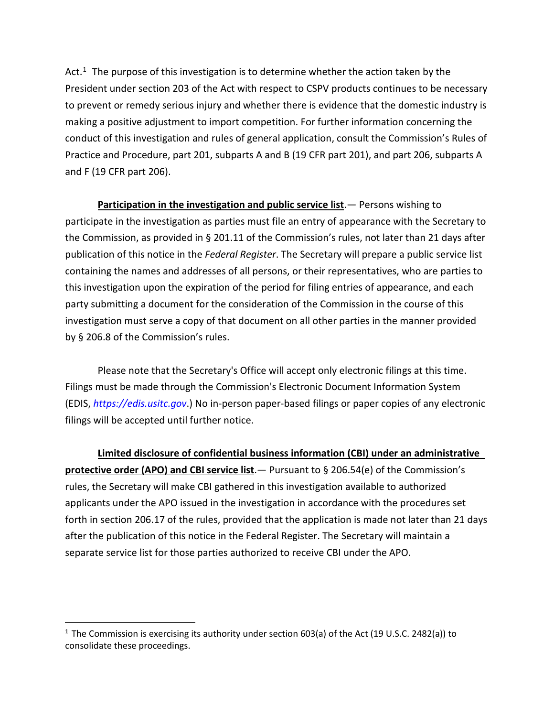Act.<sup>[1](#page-2-0)</sup> The purpose of this investigation is to determine whether the action taken by the President under section 203 of the Act with respect to CSPV products continues to be necessary to prevent or remedy serious injury and whether there is evidence that the domestic industry is making a positive adjustment to import competition. For further information concerning the conduct of this investigation and rules of general application, consult the Commission's Rules of Practice and Procedure, part 201, subparts A and B (19 CFR part 201), and part 206, subparts A and F (19 CFR part 206).

**Participation in the investigation and public service list**.— Persons wishing to participate in the investigation as parties must file an entry of appearance with the Secretary to the Commission, as provided in § 201.11 of the Commission's rules, not later than 21 days after publication of this notice in the *Federal Register*. The Secretary will prepare a public service list containing the names and addresses of all persons, or their representatives, who are parties to this investigation upon the expiration of the period for filing entries of appearance, and each party submitting a document for the consideration of the Commission in the course of this investigation must serve a copy of that document on all other parties in the manner provided by § 206.8 of the Commission's rules.

Please note that the Secretary's Office will accept only electronic filings at this time. Filings must be made through the Commission's Electronic Document Information System (EDIS, *https://edis.usitc.gov*.) No in-person paper-based filings or paper copies of any electronic filings will be accepted until further notice.

**Limited disclosure of confidential business information (CBI) under an administrative protective order (APO) and CBI service list**.— Pursuant to § 206.54(e) of the Commission's rules, the Secretary will make CBI gathered in this investigation available to authorized applicants under the APO issued in the investigation in accordance with the procedures set forth in section 206.17 of the rules, provided that the application is made not later than 21 days after the publication of this notice in the Federal Register. The Secretary will maintain a separate service list for those parties authorized to receive CBI under the APO.

<span id="page-2-0"></span><sup>&</sup>lt;sup>1</sup> The Commission is exercising its authority under section 603(a) of the Act (19 U.S.C. 2482(a)) to consolidate these proceedings.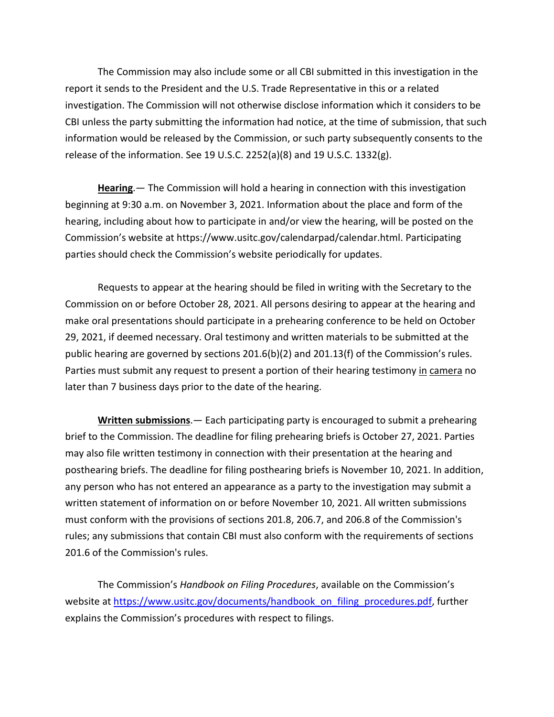The Commission may also include some or all CBI submitted in this investigation in the report it sends to the President and the U.S. Trade Representative in this or a related investigation. The Commission will not otherwise disclose information which it considers to be CBI unless the party submitting the information had notice, at the time of submission, that such information would be released by the Commission, or such party subsequently consents to the release of the information. See 19 U.S.C. 2252(a)(8) and 19 U.S.C. 1332(g).

**Hearing**.— The Commission will hold a hearing in connection with this investigation beginning at 9:30 a.m. on November 3, 2021. Information about the place and form of the hearing, including about how to participate in and/or view the hearing, will be posted on the Commission's website at https://www.usitc.gov/calendarpad/calendar.html. Participating parties should check the Commission's website periodically for updates.

Requests to appear at the hearing should be filed in writing with the Secretary to the Commission on or before October 28, 2021. All persons desiring to appear at the hearing and make oral presentations should participate in a prehearing conference to be held on October 29, 2021, if deemed necessary. Oral testimony and written materials to be submitted at the public hearing are governed by sections 201.6(b)(2) and 201.13(f) of the Commission's rules. Parties must submit any request to present a portion of their hearing testimony in camera no later than 7 business days prior to the date of the hearing.

**Written submissions**.— Each participating party is encouraged to submit a prehearing brief to the Commission. The deadline for filing prehearing briefs is October 27, 2021. Parties may also file written testimony in connection with their presentation at the hearing and posthearing briefs. The deadline for filing posthearing briefs is November 10, 2021. In addition, any person who has not entered an appearance as a party to the investigation may submit a written statement of information on or before November 10, 2021. All written submissions must conform with the provisions of sections 201.8, 206.7, and 206.8 of the Commission's rules; any submissions that contain CBI must also conform with the requirements of sections 201.6 of the Commission's rules.

The Commission's *Handbook on Filing Procedures*, available on the Commission's website at [https://www.usitc.gov/documents/handbook\\_on\\_filing\\_procedures.pdf,](https://www.usitc.gov/documents/handbook_on_filing_procedures.pdf) further explains the Commission's procedures with respect to filings.